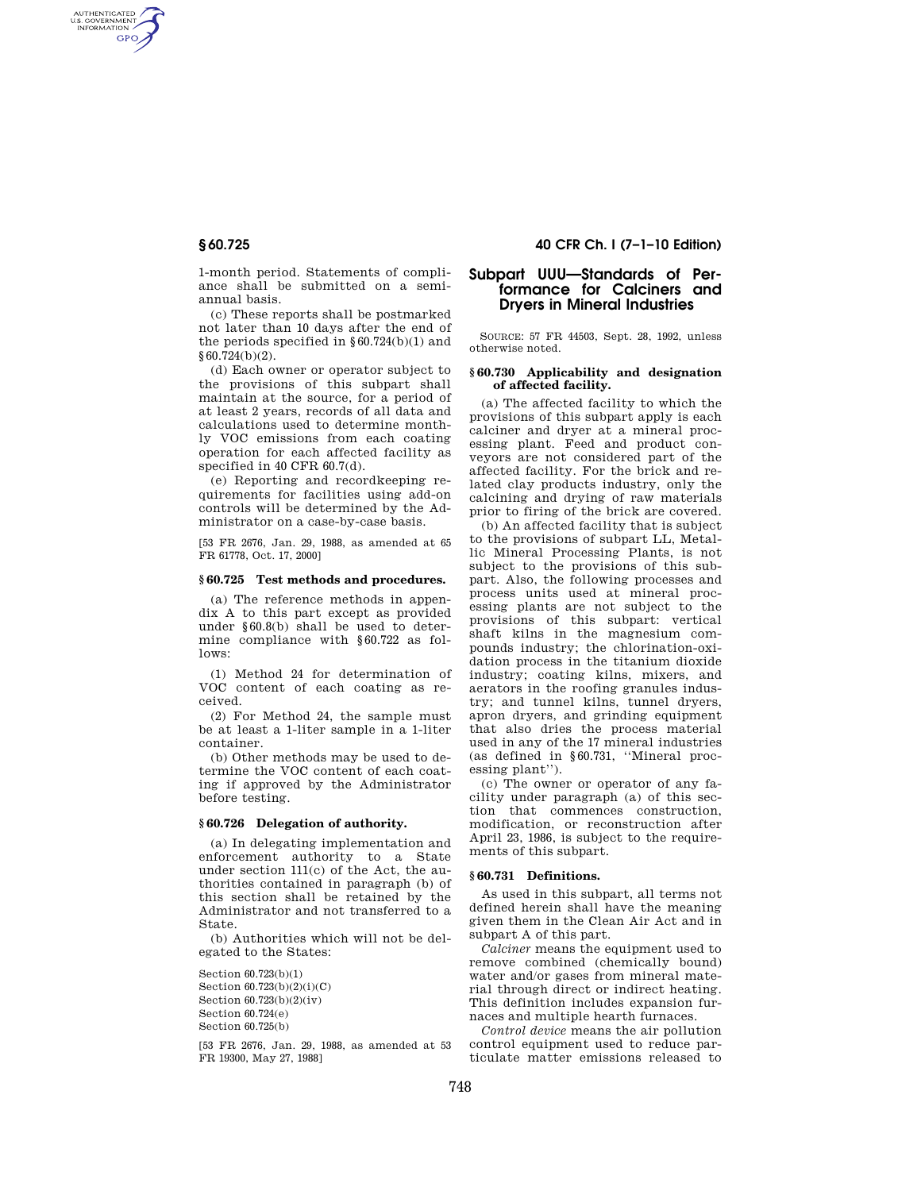AUTHENTICATED<br>U.S. GOVERNMENT<br>INFORMATION GPO

> 1-month period. Statements of compliance shall be submitted on a semiannual basis.

> (c) These reports shall be postmarked not later than 10 days after the end of the periods specified in  $§ 60.724(b)(1)$  and §60.724(b)(2).

> (d) Each owner or operator subject to the provisions of this subpart shall maintain at the source, for a period of at least 2 years, records of all data and calculations used to determine monthly VOC emissions from each coating operation for each affected facility as specified in 40 CFR 60.7(d).

> (e) Reporting and recordkeeping requirements for facilities using add-on controls will be determined by the Administrator on a case-by-case basis.

> [53 FR 2676, Jan. 29, 1988, as amended at 65 FR 61778, Oct. 17, 2000]

# **§ 60.725 Test methods and procedures.**

(a) The reference methods in appendix A to this part except as provided under §60.8(b) shall be used to determine compliance with §60.722 as follows:

(1) Method 24 for determination of VOC content of each coating as received.

(2) For Method 24, the sample must be at least a 1-liter sample in a 1-liter container.

(b) Other methods may be used to determine the VOC content of each coating if approved by the Administrator before testing.

## **§ 60.726 Delegation of authority.**

(a) In delegating implementation and enforcement authority to a State under section 111(c) of the Act, the authorities contained in paragraph (b) of this section shall be retained by the Administrator and not transferred to a State.

(b) Authorities which will not be delegated to the States:

Section 60.723(b)(1) Section 60.723(b)(2)(i)(C) Section 60.723(b)(2)(iv) Section 60.724(e) Section 60.725(b)

[53 FR 2676, Jan. 29, 1988, as amended at 53 FR 19300, May 27, 1988]

# **§ 60.725 40 CFR Ch. I (7–1–10 Edition)**

# **Subpart UUU—Standards of Performance for Calciners and Dryers in Mineral Industries**

SOURCE: 57 FR 44503, Sept. 28, 1992, unless otherwise noted.

## **§ 60.730 Applicability and designation of affected facility.**

(a) The affected facility to which the provisions of this subpart apply is each calciner and dryer at a mineral processing plant. Feed and product conveyors are not considered part of the affected facility. For the brick and related clay products industry, only the calcining and drying of raw materials prior to firing of the brick are covered.

(b) An affected facility that is subject to the provisions of subpart LL, Metallic Mineral Processing Plants, is not subject to the provisions of this subpart. Also, the following processes and process units used at mineral processing plants are not subject to the provisions of this subpart: vertical shaft kilns in the magnesium compounds industry; the chlorination-oxidation process in the titanium dioxide industry; coating kilns, mixers, and aerators in the roofing granules industry; and tunnel kilns, tunnel dryers, apron dryers, and grinding equipment that also dries the process material used in any of the 17 mineral industries (as defined in §60.731, ''Mineral processing plant'').

(c) The owner or operator of any facility under paragraph (a) of this section that commences construction, modification, or reconstruction after April 23, 1986, is subject to the requirements of this subpart.

### **§ 60.731 Definitions.**

As used in this subpart, all terms not defined herein shall have the meaning given them in the Clean Air Act and in subpart A of this part.

*Calciner* means the equipment used to remove combined (chemically bound) water and/or gases from mineral material through direct or indirect heating. This definition includes expansion furnaces and multiple hearth furnaces.

*Control device* means the air pollution control equipment used to reduce particulate matter emissions released to